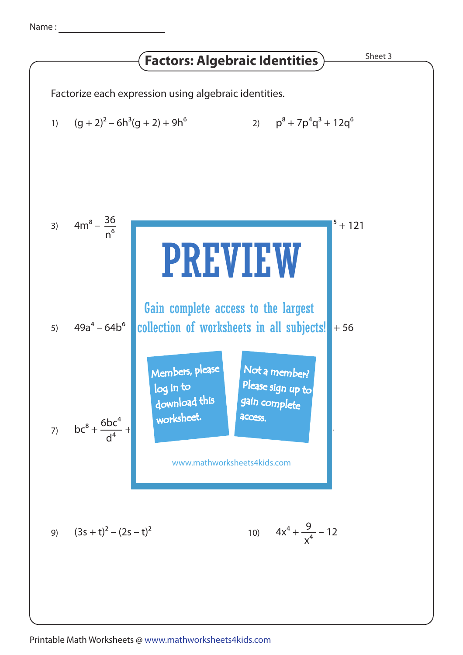